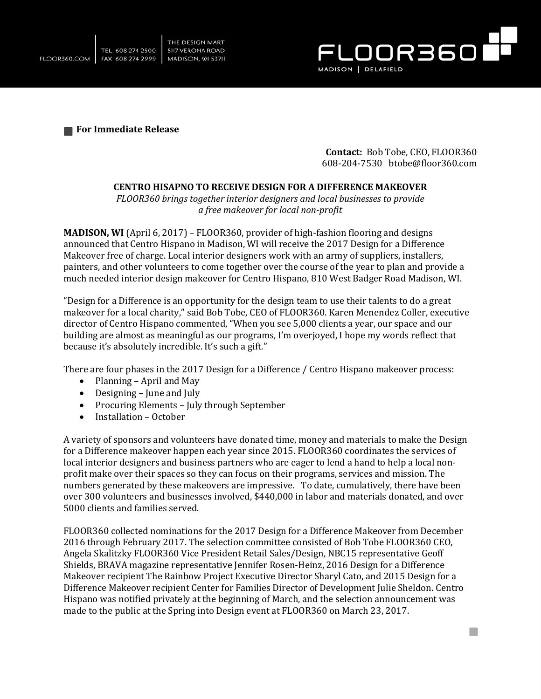



**For Immediate Release** 

**Contact:** Bob Tobe, CEO, FLOOR360 608-204-7530 btobe@floor360.com

n.

## **CENTRO HISAPNO TO RECEIVE DESIGN FOR A DIFFERENCE MAKEOVER**

*FLOOR360 brings together interior designers and local businesses to provide a free makeover for local non-profit* 

**MADISON, WI** (April 6, 2017) – FLOOR360, provider of high-fashion flooring and designs announced that Centro Hispano in Madison, WI will receive the 2017 Design for a Difference Makeover free of charge. Local interior designers work with an army of suppliers, installers, painters, and other volunteers to come together over the course of the year to plan and provide a much needed interior design makeover for Centro Hispano, 810 West Badger Road Madison, WI.

"Design for a Difference is an opportunity for the design team to use their talents to do a great makeover for a local charity," said Bob Tobe, CEO of FLOOR360. Karen Menendez Coller, executive director of Centro Hispano commented, "When you see 5,000 clients a year, our space and our building are almost as meaningful as our programs, I'm overjoyed, I hope my words reflect that because it's absolutely incredible. It's such a gift."

There are four phases in the 2017 Design for a Difference / Centro Hispano makeover process:

- Planning April and May
- Designing June and July
- Procuring Elements July through September<br>• Installation October
- Installation October

A variety of sponsors and volunteers have donated time, money and materials to make the Design for a Difference makeover happen each year since 2015. FLOOR360 coordinates the services of local interior designers and business partners who are eager to lend a hand to help a local nonprofit make over their spaces so they can focus on their programs, services and mission. The numbers generated by these makeovers are impressive. To date, cumulatively, there have been over 300 volunteers and businesses involved, \$440,000 in labor and materials donated, and over 5000 clients and families served.

FLOOR360 collected nominations for the 2017 Design for a Difference Makeover from December 2016 through February 2017. The selection committee consisted of Bob Tobe FLOOR360 CEO, Angela Skalitzky FLOOR360 Vice President Retail Sales/Design, NBC15 representative Geoff Shields, BRAVA magazine representative Jennifer Rosen-Heinz, 2016 Design for a Difference Makeover recipient The Rainbow Project Executive Director Sharyl Cato, and 2015 Design for a Difference Makeover recipient Center for Families Director of Development Julie Sheldon. Centro Hispano was notified privately at the beginning of March, and the selection announcement was made to the public at the Spring into Design event at FLOOR360 on March 23, 2017.